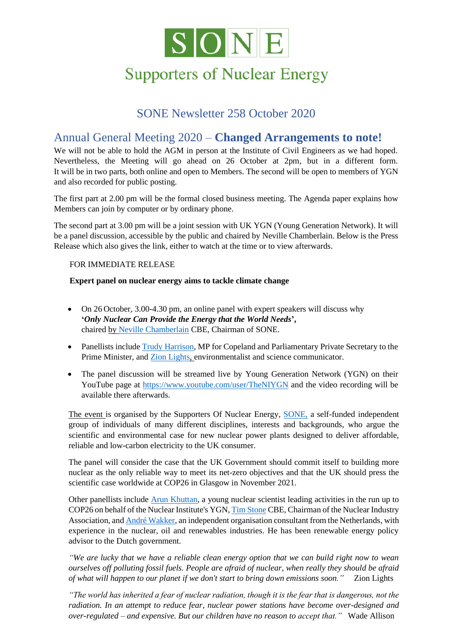

# **Supporters of Nuclear Energy**

#### SONE Newsletter 258 October 2020

#### Annual General Meeting 2020 – **Changed Arrangements to note!**

We will not be able to hold the AGM in person at the Institute of Civil Engineers as we had hoped. Nevertheless, the Meeting will go ahead on 26 October at 2pm, but in a different form. It will be in two parts, both online and open to Members. The second will be open to members of YGN and also recorded for public posting.

The first part at 2.00 pm will be the formal closed business meeting. The Agenda paper explains how Members can join by computer or by ordinary phone.

The second part at 3.00 pm will be a joint session with UK YGN (Young Generation Network). It will be a panel discussion, accessible by the public and chaired by Neville Chamberlain. Below is the Press Release which also gives the link, either to watch at the time or to view afterwards.

#### FOR IMMEDIATE RELEASE

#### **Expert panel [on nuclear energy aim](https://www.linkedin.com/in/neville-chamberlain-41386744/)s to tackle climate change**

- On 26 October, 3.0[0-4.30 pm,](http://www.zionlights.co.uk/) an online panel with expert speakers will discuss why **'***Only Nuclear Can Provide the Energy that the World Needs***',** chaired by Neville Chamberlain CBE, Chairman of SONE.
- Panellists include Trudy [Harrison,](https://en.wikipedia.org/wiki/Trudy_Harrison) MP for Copeland and Parliamentary Private Secretary to the Prime Minister, and Zion Lights, environmentalist and scie[nce comm](http://www.sone.org.uk/category/sone-publications/)unicator.
- The panel discussion will be streamed live by Young Generation Network (YGN) on their YouTube page at<https://www.youtube.com/user/TheNIYGN> and the video recording will be available there afterwards.

The event is organised by the Supporters Of Nuclear Energy, SONE, a self-funded independent group of individuals of many different disciplines, interests and backgrounds, who argue the scientific and environmental case for new nuclear power plants designed to deliver affordable, reliable and low-carbon electricity to the UK consumer.

The panel will consider the case that the UK Government should commit itself to building more nuclear as the only reliable way to meet its net-zero objectives and that the UK should press the scientific case worldwide at COP26 in Glasgow in November 2021.

Other panellists include [Arun Khuttan,](https://www.linkedin.com/in/arunkhuttan/) a young nuclear scientist leading activities in the run up to COP26 on behalf of the Nuclear Institute's YGN, [Tim Stone](https://www.linkedin.com/in/tim-stone-cbe-53b3364/) CBE, Chairman of the Nuclear Industry Association, and [André Wakker,](https://www.linkedin.com/in/andrewakker/) an independent organisation consultant from the Netherlands, with experience in the nuclear, oil and renewables industries. He has been renewable energy policy advisor to the Dutch government.

*"We are lucky that we have a reliable clean energy option that we can build right now to wean ourselves off polluting fossil fuels. People are afraid of nuclear, when really they should be afraid of what will happen to our planet if we don't start to bring down emissions soon."* Zion Lights

*"The world has inherited a fear of nuclear radiation, though it is the fear that is dangerous, not the radiation. In an attempt to reduce fear, nuclear power stations have become over-designed and over-regulated – and expensive. But our children have no reason to accept that."* Wade Allison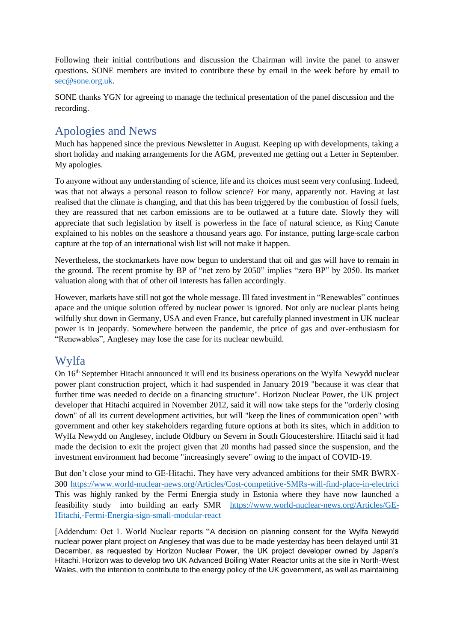Following their initial contributions and discussion the Chairman will invite the panel to answer questions. SONE members are invited to contribute these by email in the week before by email to [sec@sone.org.uk.](mailto:sec@sone.org.uk)

SONE thanks YGN for agreeing to manage the technical presentation of the panel discussion and the recording.

## Apologies and News

Much has happened since the previous Newsletter in August. Keeping up with developments, taking a short holiday and making arrangements for the AGM, prevented me getting out a Letter in September. My apologies.

To anyone without any understanding of science, life and its choices must seem very confusing. Indeed, was that not always a personal reason to follow science? For many, apparently not. Having at last realised that the climate is changing, and that this has been triggered by the combustion of fossil fuels, they are reassured that net carbon emissions are to be outlawed at a future date. Slowly they will appreciate that such legislation by itself is powerless in the face of natural science, as King Canute explained to his nobles on the seashore a thousand years ago. For instance, putting large-scale carbon capture at the top of an international wish list will not make it happen.

Nevertheless, the stockmarkets have now begun to understand that oil and gas will have to remain in the ground. The recent promise by BP of "net zero by 2050" implies "zero BP" by 2050. Its market valuation along with that of other oil interests has fallen accordingly.

However, markets have still not got the whole message. Ill fated investment in "Renewables" continues apace and the unique solution offered by nuclear power is ignored. Not only are nuclear plants being wilfully shut down in Germany, USA and even France, but carefully planned investment in UK nuclear power is in jeopardy. Somewhere between the pandemic, the price of gas and over-enthusiasm for "Renewables", Anglesey may lose the case for its nuclear newbuild.

### Wylfa

On 16<sup>th</sup> September Hitachi announced it will end its business operations on the Wylfa Newydd nuclear power plant construction project, which it had suspended in January 2019 "because it was clear that further time was needed to decide on a financing structure". Horizon Nuclear Power, the UK project developer that Hitachi acquired in November 2012, said it will now take steps for the "orderly closing down" of all its current development activities, but will "keep the lines of communication open" with government and other key stakeholders regarding future options at both its sites, which in addition to Wylfa Newydd on Anglesey, include Oldbury on Severn in South Gloucestershire. Hitachi said it had made the decision to exit the project given that 20 months had passed since the suspension, and the investment environment had become "increasingly severe" owing to the impact of COVID-19.

But don't close your mind to GE-Hitachi. They have very advanced ambitions for their SMR BWRX-300 <https://www.world-nuclear-news.org/Articles/Cost-competitive-SMRs-will-find-place-in-electrici> This was highly ranked by the Fermi Energia study in Estonia where they have now launched a feasibility study into building an early SMR [https://www.world-nuclear-news.org/Articles/GE-](https://www.world-nuclear-news.org/Articles/GE-Hitachi,-Fermi-Energia-sign-small-modular-react)[Hitachi,-Fermi-Energia-sign-small-modular-react](https://www.world-nuclear-news.org/Articles/GE-Hitachi,-Fermi-Energia-sign-small-modular-react)

[Addendum: Oct 1. World Nuclear reports "A decision on planning consent for the Wylfa Newydd nuclear power plant project on Anglesey that was due to be made yesterday has been delayed until 31 December, as requested by Horizon Nuclear Power, the UK project developer owned by Japan's Hitachi. Horizon was to develop two UK Advanced Boiling Water Reactor units at the site in North-West Wales, with the intention to contribute to the energy policy of the UK government, as well as maintaining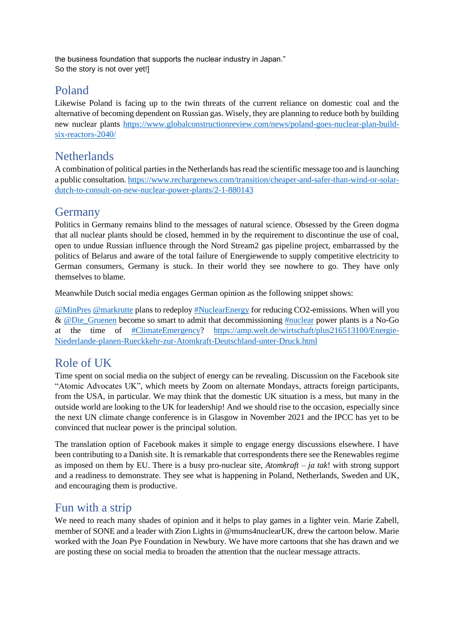the business foundation that supports the nuclear industry in Japan." So the story is not over yet!]

### Poland

Likewise Poland is facing up to the twin threats of the current reliance on domestic coal and the alternative of becoming dependent on Russian gas. Wisely, they are planning to reduce both by building new nuclear plants [https://www.globalconstructionreview.com/news/poland-goes-nuclear-plan-build](https://www.globalconstructionreview.com/news/poland-goes-nuclear-plan-build-six-reactors-2040/)[six-reactors-2040/](https://www.globalconstructionreview.com/news/poland-goes-nuclear-plan-build-six-reactors-2040/)

## **Netherlands**

A combination of political parties in the Netherlands has read the scientific message too and islaunching a public consultation. [https://www.rechargenews.com/transition/cheaper-and-safer-than-wind-or-solar](https://www.rechargenews.com/transition/cheaper-and-safer-than-wind-or-solar-dutch-to-consult-on-new-nuclear-power-plants/2-1-880143)[dutch-to-consult-on-new-nuclear-power-plants/2-1-880143](https://www.rechargenews.com/transition/cheaper-and-safer-than-wind-or-solar-dutch-to-consult-on-new-nuclear-power-plants/2-1-880143)

#### Germany

Politics in Germany remains blind to the messages of natural science. Obsessed by the Green dogma that all nuclear plants should be closed, hemmed in by the requirement to discontinue the use of coal, open to undue Russian influence through the Nord Stream2 gas pipeline project, embarrassed by the politics of Belarus and aware of the total failure of Energiewende to supply competitive electricity to German consumers, Germany is stuck. In their world they see nowhere to go. They have only themselves to blame.

Meanwhile Dutch social media engages German opinion as the following snippet shows:

[@MinPres](https://twitter.com/MinPres) [@markrutte](https://twitter.com/markrutte) plans to redeploy [#NuclearEnergy](https://twitter.com/hashtag/NuclearEnergy?src=hashtag_click) for reducing CO2-emissions. When will you & [@Die\\_Gruenen](https://twitter.com/Die_Gruenen) become so smart to admit that decommissioning [#nuclear](https://twitter.com/hashtag/nuclear?src=hashtag_click) power plants is a No-Go at the time of [#ClimateEmergency?](https://twitter.com/hashtag/ClimateEmergency?src=hashtag_click) [https://amp.welt.de/wirtschaft/plus216513100/Energie-](https://amp.welt.de/wirtschaft/plus216513100/Energie-Niederlande-planen-Rueckkehr-zur-Atomkraft-Deutschland-unter-Druck.htmle)[Niederlande-planen-Rueckkehr-zur-Atomkraft-Deutschland-unter-Druck.html](https://amp.welt.de/wirtschaft/plus216513100/Energie-Niederlande-planen-Rueckkehr-zur-Atomkraft-Deutschland-unter-Druck.htmle)

### Role of UK

Time spent on social media on the subject of energy can be revealing. Discussion on the Facebook site "Atomic Advocates UK", which meets by Zoom on alternate Mondays, attracts foreign participants, from the USA, in particular. We may think that the domestic UK situation is a mess, but many in the outside world are looking to the UK for leadership! And we should rise to the occasion, especially since the next UN climate change conference is in Glasgow in November 2021 and the IPCC has yet to be convinced that nuclear power is the principal solution.

The translation option of Facebook makes it simple to engage energy discussions elsewhere. I have been contributing to a Danish site. It is remarkable that correspondents there see the Renewables regime as imposed on them by EU. There is a busy pro-nuclear site, *Atomkraft – ja tak*! with strong support and a readiness to demonstrate. They see what is happening in Poland, Netherlands, Sweden and UK, and encouraging them is productive.

### Fun with a strip

We need to reach many shades of opinion and it helps to play games in a lighter vein. Marie Zabell, member of SONE and a leader with Zion Lights in @mums4nuclearUK, drew the cartoon below. Marie worked with the Joan Pye Foundation in Newbury. We have more cartoons that she has drawn and we are posting these on social media to broaden the attention that the nuclear message attracts.